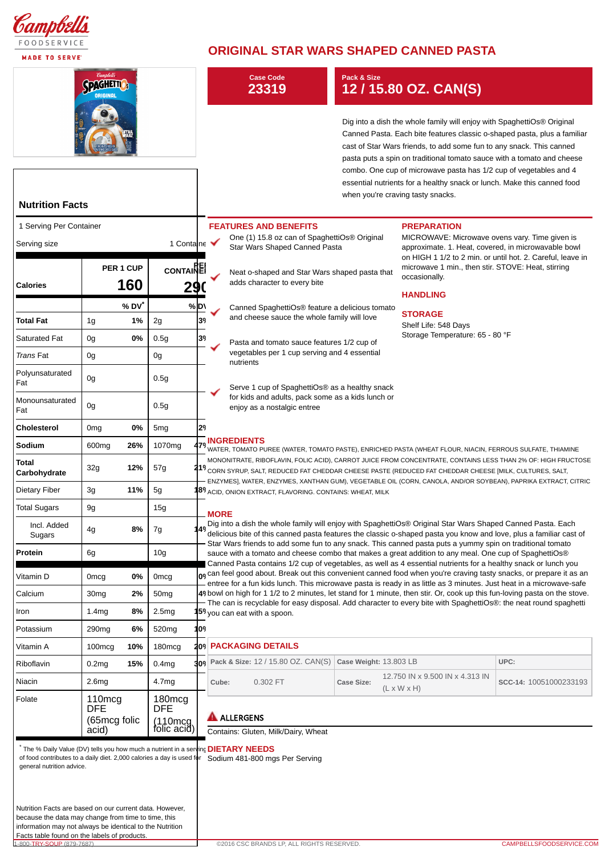

**MADE TO SERVE** 

## **ORIGINAL STAR WARS SHAPED CANNED PASTA**

| 'Campbell's<br><b>SPAGHETTIO</b><br><b>Nutrition Facts</b> |                                                           |                         |                                                             |                                                                                                                                                                                                                                                                                                                                            | <b>Case Code</b><br>23319                                                                                                                                                                                                                                                                                                                                                                                                                                                                                                                                                                                                                                                                                                                                                                                                               |                                               |                                                                                               | Pack & Size<br>12 / 15.80 OZ. CAN(S) |                    |                                                                                                                                                                                                                                                                                                                                                                                                                                                                                           |                        |  |
|------------------------------------------------------------|-----------------------------------------------------------|-------------------------|-------------------------------------------------------------|--------------------------------------------------------------------------------------------------------------------------------------------------------------------------------------------------------------------------------------------------------------------------------------------------------------------------------------------|-----------------------------------------------------------------------------------------------------------------------------------------------------------------------------------------------------------------------------------------------------------------------------------------------------------------------------------------------------------------------------------------------------------------------------------------------------------------------------------------------------------------------------------------------------------------------------------------------------------------------------------------------------------------------------------------------------------------------------------------------------------------------------------------------------------------------------------------|-----------------------------------------------|-----------------------------------------------------------------------------------------------|--------------------------------------|--------------------|-------------------------------------------------------------------------------------------------------------------------------------------------------------------------------------------------------------------------------------------------------------------------------------------------------------------------------------------------------------------------------------------------------------------------------------------------------------------------------------------|------------------------|--|
|                                                            |                                                           |                         |                                                             |                                                                                                                                                                                                                                                                                                                                            |                                                                                                                                                                                                                                                                                                                                                                                                                                                                                                                                                                                                                                                                                                                                                                                                                                         |                                               |                                                                                               |                                      |                    | Dig into a dish the whole family will enjoy with SpaghettiOs® Original<br>Canned Pasta. Each bite features classic o-shaped pasta, plus a familiar<br>cast of Star Wars friends, to add some fun to any snack. This canned<br>pasta puts a spin on traditional tomato sauce with a tomato and cheese<br>combo. One cup of microwave pasta has 1/2 cup of vegetables and 4<br>essential nutrients for a healthy snack or lunch. Make this canned food<br>when you're craving tasty snacks. |                        |  |
| 1 Serving Per Container                                    |                                                           |                         |                                                             |                                                                                                                                                                                                                                                                                                                                            |                                                                                                                                                                                                                                                                                                                                                                                                                                                                                                                                                                                                                                                                                                                                                                                                                                         |                                               | <b>FEATURES AND BENEFITS</b>                                                                  |                                      | <b>PREPARATION</b> |                                                                                                                                                                                                                                                                                                                                                                                                                                                                                           |                        |  |
| 1 Containe $\blacktriangledown$<br>Serving size            |                                                           |                         |                                                             |                                                                                                                                                                                                                                                                                                                                            | One (1) 15.8 oz can of SpaghettiOs <sup>®</sup> Original<br>MICROWAVE: Microwave ovens vary. Time given is<br>Star Wars Shaped Canned Pasta<br>approximate. 1. Heat, covered, in microwavable bowl                                                                                                                                                                                                                                                                                                                                                                                                                                                                                                                                                                                                                                      |                                               |                                                                                               |                                      |                    |                                                                                                                                                                                                                                                                                                                                                                                                                                                                                           |                        |  |
|                                                            | PER 1 CUP                                                 |                         | CONTAINE                                                    |                                                                                                                                                                                                                                                                                                                                            |                                                                                                                                                                                                                                                                                                                                                                                                                                                                                                                                                                                                                                                                                                                                                                                                                                         | Neat o-shaped and Star Wars shaped pasta that |                                                                                               |                                      |                    | on HIGH 1 1/2 to 2 min. or until hot. 2. Careful, leave in<br>microwave 1 min., then stir. STOVE: Heat, stirring<br>occasionally.                                                                                                                                                                                                                                                                                                                                                         |                        |  |
| <b>Calories</b>                                            |                                                           | 160                     | 29                                                          |                                                                                                                                                                                                                                                                                                                                            |                                                                                                                                                                                                                                                                                                                                                                                                                                                                                                                                                                                                                                                                                                                                                                                                                                         | adds character to every bite                  |                                                                                               |                                      |                    | <b>HANDLING</b>                                                                                                                                                                                                                                                                                                                                                                                                                                                                           |                        |  |
| Total Fat                                                  | 1 <sub>g</sub>                                            | % DV <sup>*</sup><br>1% | 2g                                                          | % D\<br>39                                                                                                                                                                                                                                                                                                                                 |                                                                                                                                                                                                                                                                                                                                                                                                                                                                                                                                                                                                                                                                                                                                                                                                                                         |                                               | Canned SpaghettiOs® feature a delicious tomato<br>and cheese sauce the whole family will love |                                      |                    | <b>STORAGE</b><br>Shelf Life: 548 Days<br>Storage Temperature: 65 - 80 °F                                                                                                                                                                                                                                                                                                                                                                                                                 |                        |  |
| Saturated Fat                                              | 0g                                                        | 0%                      | 0.5 <sub>g</sub>                                            | 39                                                                                                                                                                                                                                                                                                                                         |                                                                                                                                                                                                                                                                                                                                                                                                                                                                                                                                                                                                                                                                                                                                                                                                                                         |                                               | Pasta and tomato sauce features 1/2 cup of                                                    |                                      |                    |                                                                                                                                                                                                                                                                                                                                                                                                                                                                                           |                        |  |
| Trans Fat                                                  | 0g                                                        |                         | 0g                                                          |                                                                                                                                                                                                                                                                                                                                            |                                                                                                                                                                                                                                                                                                                                                                                                                                                                                                                                                                                                                                                                                                                                                                                                                                         | nutrients                                     | vegetables per 1 cup serving and 4 essential                                                  |                                      |                    |                                                                                                                                                                                                                                                                                                                                                                                                                                                                                           |                        |  |
| Polyunsaturated<br>Fat                                     | 0g                                                        |                         | 0.5g                                                        |                                                                                                                                                                                                                                                                                                                                            |                                                                                                                                                                                                                                                                                                                                                                                                                                                                                                                                                                                                                                                                                                                                                                                                                                         |                                               | Serve 1 cup of SpaghettiOs <sup>®</sup> as a healthy snack                                    |                                      |                    |                                                                                                                                                                                                                                                                                                                                                                                                                                                                                           |                        |  |
| Monounsaturated<br>Fat                                     | 0g                                                        |                         | 0.5g                                                        |                                                                                                                                                                                                                                                                                                                                            |                                                                                                                                                                                                                                                                                                                                                                                                                                                                                                                                                                                                                                                                                                                                                                                                                                         |                                               |                                                                                               |                                      |                    |                                                                                                                                                                                                                                                                                                                                                                                                                                                                                           |                        |  |
| Cholesterol                                                | 0 <sub>mg</sub>                                           | 0%                      | 5 <sub>mg</sub>                                             | 29                                                                                                                                                                                                                                                                                                                                         |                                                                                                                                                                                                                                                                                                                                                                                                                                                                                                                                                                                                                                                                                                                                                                                                                                         |                                               |                                                                                               |                                      |                    |                                                                                                                                                                                                                                                                                                                                                                                                                                                                                           |                        |  |
| Sodium                                                     | 600 <sub>mg</sub>                                         | 26%                     | 1070 <sub>mg</sub>                                          |                                                                                                                                                                                                                                                                                                                                            |                                                                                                                                                                                                                                                                                                                                                                                                                                                                                                                                                                                                                                                                                                                                                                                                                                         | <b>INGREDIENTS</b>                            |                                                                                               |                                      |                    | WATER, TOMATO PUREE (WATER, TOMATO PASTE), ENRICHED PASTA (WHEAT FLOUR, NIACIN, FERROUS SULFATE, THIAMINE                                                                                                                                                                                                                                                                                                                                                                                 |                        |  |
| Total<br>Carbohydrate                                      | 32g                                                       | 12%                     | 57g                                                         | MONONITRATE, RIBOFLAVIN, FOLIC ACID), CARROT JUICE FROM CONCENTRATE, CONTAINS LESS THAN 2% OF: HIGH FRUCTOSE<br>419 CORN SYRUP, SALT, REDUCED FAT CHEDDAR CHEESE PASTE (REDUCED FAT CHEDDAR CHEESE [MILK, CULTURES, SALT,<br>ENZYMES], WATER, ENZYMES, XANTHAN GUM), VEGETABLE OIL (CORN, CANOLA, AND/OR SOYBEAN), PAPRIKA EXTRACT, CITRIC |                                                                                                                                                                                                                                                                                                                                                                                                                                                                                                                                                                                                                                                                                                                                                                                                                                         |                                               |                                                                                               |                                      |                    |                                                                                                                                                                                                                                                                                                                                                                                                                                                                                           |                        |  |
| Dietary Fiber                                              | 3g                                                        | 11%                     | 5 <sub>g</sub>                                              |                                                                                                                                                                                                                                                                                                                                            | <b>189 ACID, ONION EXTRACT, FLAVORING. CONTAINS: WHEAT, MILK</b>                                                                                                                                                                                                                                                                                                                                                                                                                                                                                                                                                                                                                                                                                                                                                                        |                                               |                                                                                               |                                      |                    |                                                                                                                                                                                                                                                                                                                                                                                                                                                                                           |                        |  |
| <b>Total Sugars</b>                                        | 9g                                                        |                         | 15g                                                         |                                                                                                                                                                                                                                                                                                                                            | <b>MORE</b>                                                                                                                                                                                                                                                                                                                                                                                                                                                                                                                                                                                                                                                                                                                                                                                                                             |                                               |                                                                                               |                                      |                    |                                                                                                                                                                                                                                                                                                                                                                                                                                                                                           |                        |  |
| Incl. Added<br>Sugars                                      | 4g                                                        | 8%                      | 7g                                                          |                                                                                                                                                                                                                                                                                                                                            | Dig into a dish the whole family will enjoy with SpaghettiOs® Original Star Wars Shaped Canned Pasta. Each<br>149 delicious bite of this canned pasta features the classic o-shaped pasta you know and love, plus a familiar cast of<br>Star Wars friends to add some fun to any snack. This canned pasta puts a yummy spin on traditional tomato<br>sauce with a tomato and cheese combo that makes a great addition to any meal. One cup of SpaghettiOs®<br>Canned Pasta contains 1/2 cup of vegetables, as well as 4 essential nutrients for a healthy snack or lunch you<br>$\vert_{0^0}$ can feel good about. Break out this convenient canned food when you're craving tasty snacks, or prepare it as an<br>- entree for a fun kids lunch. This microwave pasta is ready in as little as 3 minutes. Just heat in a microwave-safe |                                               |                                                                                               |                                      |                    |                                                                                                                                                                                                                                                                                                                                                                                                                                                                                           |                        |  |
| Protein                                                    | 6g                                                        |                         | 10 <sub>g</sub>                                             |                                                                                                                                                                                                                                                                                                                                            |                                                                                                                                                                                                                                                                                                                                                                                                                                                                                                                                                                                                                                                                                                                                                                                                                                         |                                               |                                                                                               |                                      |                    |                                                                                                                                                                                                                                                                                                                                                                                                                                                                                           |                        |  |
| Vitamin D                                                  | Omcg                                                      | 0%                      | Omcg                                                        |                                                                                                                                                                                                                                                                                                                                            |                                                                                                                                                                                                                                                                                                                                                                                                                                                                                                                                                                                                                                                                                                                                                                                                                                         |                                               |                                                                                               |                                      |                    |                                                                                                                                                                                                                                                                                                                                                                                                                                                                                           |                        |  |
| Calcium                                                    | 30 <sub>mg</sub>                                          | 2%                      | 50 <sub>mg</sub>                                            |                                                                                                                                                                                                                                                                                                                                            | 49 bowl on high for 1 1/2 to 2 minutes, let stand for 1 minute, then stir. Or, cook up this fun-loving pasta on the stove.<br>- The can is recyclable for easy disposal. Add character to every bite with SpaghettiOs®: the neat round spaghetti                                                                                                                                                                                                                                                                                                                                                                                                                                                                                                                                                                                        |                                               |                                                                                               |                                      |                    |                                                                                                                                                                                                                                                                                                                                                                                                                                                                                           |                        |  |
| Iron                                                       | 1.4 <sub>mg</sub>                                         | 8%                      | 2.5mg                                                       | <b>15º</b> you can eat with a spoon.                                                                                                                                                                                                                                                                                                       |                                                                                                                                                                                                                                                                                                                                                                                                                                                                                                                                                                                                                                                                                                                                                                                                                                         |                                               |                                                                                               |                                      |                    |                                                                                                                                                                                                                                                                                                                                                                                                                                                                                           |                        |  |
| Potassium                                                  | 290 <sub>mg</sub>                                         | 6%                      | 520 <sub>mg</sub>                                           | 109                                                                                                                                                                                                                                                                                                                                        |                                                                                                                                                                                                                                                                                                                                                                                                                                                                                                                                                                                                                                                                                                                                                                                                                                         |                                               |                                                                                               |                                      |                    |                                                                                                                                                                                                                                                                                                                                                                                                                                                                                           |                        |  |
| Vitamin A                                                  | 100 <sub>mcg</sub>                                        | 10%                     | 180 <sub>mcg</sub>                                          |                                                                                                                                                                                                                                                                                                                                            |                                                                                                                                                                                                                                                                                                                                                                                                                                                                                                                                                                                                                                                                                                                                                                                                                                         |                                               | 209 PACKAGING DETAILS                                                                         |                                      |                    |                                                                                                                                                                                                                                                                                                                                                                                                                                                                                           |                        |  |
| Riboflavin                                                 | 0.2 <sub>mg</sub>                                         | 15%                     | 0.4 <sub>mg</sub>                                           |                                                                                                                                                                                                                                                                                                                                            |                                                                                                                                                                                                                                                                                                                                                                                                                                                                                                                                                                                                                                                                                                                                                                                                                                         |                                               | 309 Pack & Size: 12 / 15.80 OZ. CAN(S)                                                        | Case Weight: 13.803 LB               |                    |                                                                                                                                                                                                                                                                                                                                                                                                                                                                                           | UPC:                   |  |
| Niacin                                                     | 2.6 <sub>mg</sub>                                         |                         | 4.7mg                                                       |                                                                                                                                                                                                                                                                                                                                            | Cube:                                                                                                                                                                                                                                                                                                                                                                                                                                                                                                                                                                                                                                                                                                                                                                                                                                   |                                               | 0.302 FT                                                                                      | Case Size:                           |                    | 12.750 IN x 9.500 IN x 4.313 IN<br>$(L \times W \times H)$                                                                                                                                                                                                                                                                                                                                                                                                                                | SCC-14: 10051000233193 |  |
| Folate                                                     | 110 <sub>mcg</sub><br><b>DFE</b><br>(65mcg folic<br>acid) |                         | 180 <sub>mcg</sub><br><b>DFE</b><br>(110mcg)<br>folic acid) |                                                                                                                                                                                                                                                                                                                                            | <b>A</b> ALLERGENS<br>Contains: Gluten, Milk/Dairy, Wheat                                                                                                                                                                                                                                                                                                                                                                                                                                                                                                                                                                                                                                                                                                                                                                               |                                               |                                                                                               |                                      |                    |                                                                                                                                                                                                                                                                                                                                                                                                                                                                                           |                        |  |
|                                                            |                                                           |                         |                                                             |                                                                                                                                                                                                                                                                                                                                            |                                                                                                                                                                                                                                                                                                                                                                                                                                                                                                                                                                                                                                                                                                                                                                                                                                         |                                               |                                                                                               |                                      |                    |                                                                                                                                                                                                                                                                                                                                                                                                                                                                                           |                        |  |

**DIETARY NEEDS** Sodium 481-800 mgs Per Serving  $^{\star}$  The % Daily Value (DV) tells you how much a nutrient in a serving  $|$ of food contributes to a daily diet. 2,000 calories a day is used for general nutrition advice.

Nutrition Facts are based on our current data. However, because the data may change from time to time, this information may not always be identical to the Nutrition Facts table found on the labels of products.